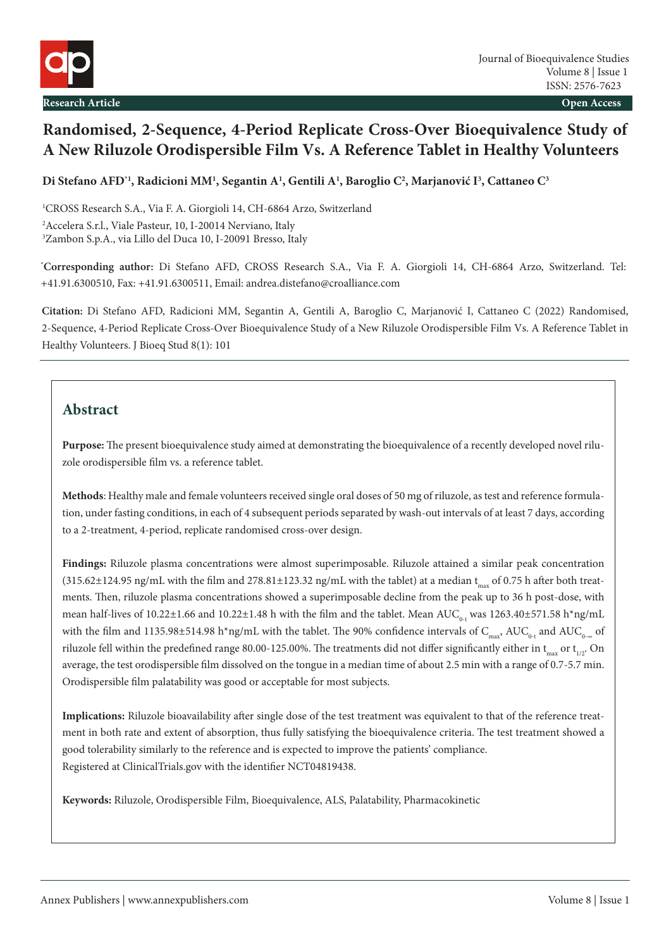

# **Randomised, 2-Sequence, 4-Period Replicate Cross-Over Bioequivalence Study of A New Riluzole Orodispersible Film Vs. A Reference Tablet in Healthy Volunteers**

**Di Stefano AFD\*1, Radicioni MM1 , Segantin A1 , Gentili A1 , Baroglio C2 , Marjanović I3 , Cattaneo C3**

1 CROSS Research S.A., Via F. A. Giorgioli 14, CH-6864 Arzo, Switzerland 2 Accelera S.r.l., Viale Pasteur, 10, I-20014 Nerviano, Italy 3 Zambon S.p.A., via Lillo del Duca 10, I-20091 Bresso, Italy

**\* Corresponding author:** Di Stefano AFD, CROSS Research S.A., Via F. A. Giorgioli 14, CH-6864 Arzo, Switzerland. Tel: +41.91.6300510, Fax: +41.91.6300511, Email: andrea.distefano@croalliance.com

**Citation:** Di Stefano AFD, Radicioni MM, Segantin A, Gentili A, Baroglio C, Marjanović I, Cattaneo C (2022) Randomised, 2-Sequence, 4-Period Replicate Cross-Over Bioequivalence Study of a New Riluzole Orodispersible Film Vs. A Reference Tablet in Healthy Volunteers. J Bioeq Stud 8(1): 101

# **Abstract**

**Purpose:** The present bioequivalence study aimed at demonstrating the bioequivalence of a recently developed novel riluzole orodispersible film vs. a reference tablet.

**Methods**: Healthy male and female volunteers received single oral doses of 50 mg of riluzole, as test and reference formulation, under fasting conditions, in each of 4 subsequent periods separated by wash-out intervals of at least 7 days, according to a 2-treatment, 4-period, replicate randomised cross-over design.

**Findings:** Riluzole plasma concentrations were almost superimposable. Riluzole attained a similar peak concentration  $(315.62\pm124.95$  ng/mL with the film and 278.81 $\pm$ 123.32 ng/mL with the tablet) at a median t<sub>max</sub> of 0.75 h after both treatments. Then, riluzole plasma concentrations showed a superimposable decline from the peak up to 36 h post-dose, with mean half-lives of 10.22±1.66 and 10.22±1.48 h with the film and the tablet. Mean AUC<sub>0-t</sub> was 1263.40±571.58 h\*ng/mL with the film and 1135.98±514.98 h\*ng/mL with the tablet. The 90% confidence intervals of  $C_{\text{max}}$ , AUC<sub>0-t</sub> and AUC<sub>0-∞</sub> of riluzole fell within the predefined range 80.00-125.00%. The treatments did not differ significantly either in  $t_{\text{max}}$  or  $t_{\text{tot}}$ . On average, the test orodispersible film dissolved on the tongue in a median time of about 2.5 min with a range of 0.7-5.7 min. Orodispersible film palatability was good or acceptable for most subjects.

**Implications:** Riluzole bioavailability after single dose of the test treatment was equivalent to that of the reference treatment in both rate and extent of absorption, thus fully satisfying the bioequivalence criteria. The test treatment showed a good tolerability similarly to the reference and is expected to improve the patients' compliance. Registered at ClinicalTrials.gov with the identifier NCT04819438.

**Keywords:** Riluzole, Orodispersible Film, Bioequivalence, ALS, Palatability, Pharmacokinetic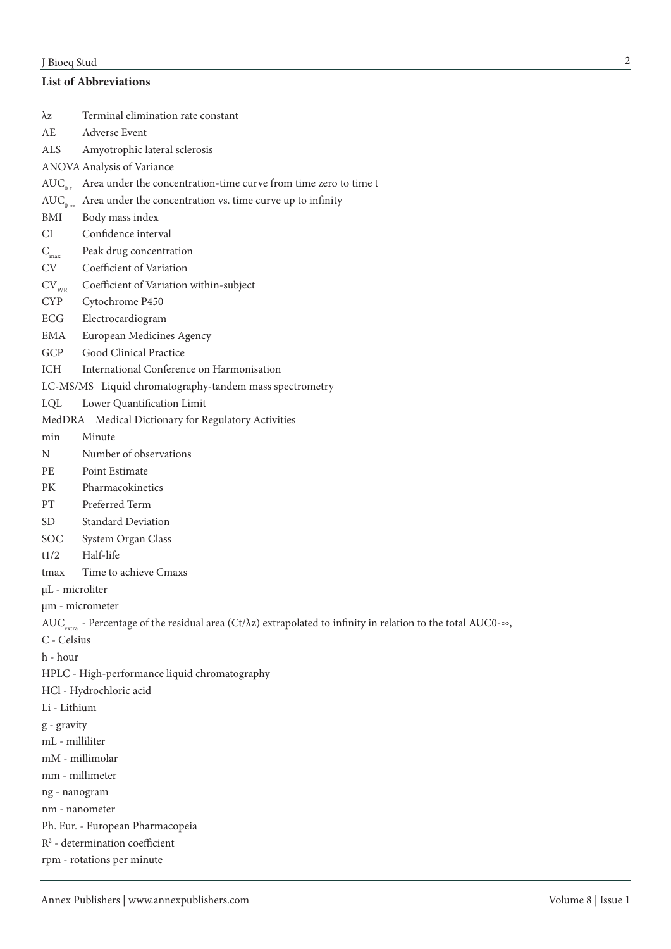# J Bioeq Stud

# **List of Abbreviations**

| λz               | Terminal elimination rate constant                                                                                                          |
|------------------|---------------------------------------------------------------------------------------------------------------------------------------------|
| AE               | <b>Adverse Event</b>                                                                                                                        |
| ALS              | Amyotrophic lateral sclerosis                                                                                                               |
|                  | ANOVA Analysis of Variance                                                                                                                  |
|                  | $AUC_{0,t}$ Area under the concentration-time curve from time zero to time t                                                                |
| $AUC_{0-\infty}$ | Area under the concentration vs. time curve up to infinity                                                                                  |
| BMI              | Body mass index                                                                                                                             |
| CI               | Confidence interval                                                                                                                         |
| $C_{\text{max}}$ | Peak drug concentration                                                                                                                     |
| <b>CV</b>        | Coefficient of Variation                                                                                                                    |
| $CV_{WR}$        | Coefficient of Variation within-subject                                                                                                     |
| <b>CYP</b>       | Cytochrome P450                                                                                                                             |
| ECG              | Electrocardiogram                                                                                                                           |
| EMA              | European Medicines Agency                                                                                                                   |
| GCP              | Good Clinical Practice                                                                                                                      |
| ICH              | International Conference on Harmonisation                                                                                                   |
|                  | LC-MS/MS Liquid chromatography-tandem mass spectrometry                                                                                     |
| LQL              | Lower Quantification Limit                                                                                                                  |
|                  | MedDRA Medical Dictionary for Regulatory Activities                                                                                         |
| min              | Minute                                                                                                                                      |
| N                | Number of observations                                                                                                                      |
| PE               | Point Estimate                                                                                                                              |
| PK               | Pharmacokinetics                                                                                                                            |
| PT               | Preferred Term                                                                                                                              |
| SD               | <b>Standard Deviation</b>                                                                                                                   |
| SOC.             | System Organ Class                                                                                                                          |
| t1/2             | Half-life                                                                                                                                   |
| tmax             | Time to achieve Cmaxs                                                                                                                       |
| µL - microliter  |                                                                                                                                             |
| µm - micrometer  |                                                                                                                                             |
|                  | AUC <sub>extra</sub> - Percentage of the residual area (Ct/ $\lambda$ z) extrapolated to infinity in relation to the total AUC0- $\infty$ , |
| C - Celsius      |                                                                                                                                             |
| h - hour         |                                                                                                                                             |
|                  | HPLC - High-performance liquid chromatography                                                                                               |
|                  | HCl - Hydrochloric acid                                                                                                                     |
| Li - Lithium     |                                                                                                                                             |
| g - gravity      |                                                                                                                                             |
| mL - milliliter  |                                                                                                                                             |
| mM - millimolar  |                                                                                                                                             |
| mm - millimeter  |                                                                                                                                             |
| ng - nanogram    |                                                                                                                                             |
| nm - nanometer   |                                                                                                                                             |
|                  | Ph. Eur. - European Pharmacopeia                                                                                                            |
|                  | $R^2$ - determination coefficient                                                                                                           |
|                  | rpm - rotations per minute                                                                                                                  |
|                  |                                                                                                                                             |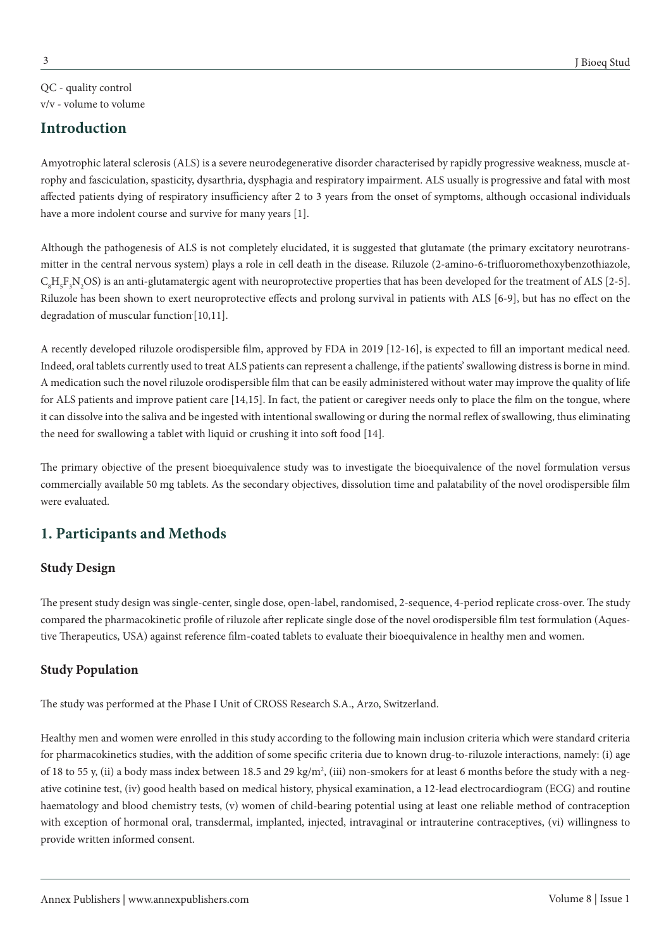QC - quality control v/v - volume to volume

# **Introduction**

Amyotrophic lateral sclerosis (ALS) is a severe neurodegenerative disorder characterised by rapidly progressive weakness, muscle atrophy and fasciculation, spasticity, dysarthria, dysphagia and respiratory impairment. ALS usually is progressive and fatal with most affected patients dying of respiratory insufficiency after 2 to 3 years from the onset of symptoms, although occasional individuals have a more indolent course and survive for many years [1].

Although the pathogenesis of ALS is not completely elucidated, it is suggested that glutamate (the primary excitatory neurotransmitter in the central nervous system) plays a role in cell death in the disease. Riluzole (2-amino-6-trifluoromethoxybenzothiazole,  $C_{8}H_{5}F_{3}N_{2}OS$ ) is an anti-glutamatergic agent with neuroprotective properties that has been developed for the treatment of ALS [2-5]. Riluzole has been shown to exert neuroprotective effects and prolong survival in patients with ALS [6-9], but has no effect on the degradation of muscular function [10,11].

A recently developed riluzole orodispersible film, approved by FDA in 2019 [12-16], is expected to fill an important medical need. Indeed, oral tablets currently used to treat ALS patients can represent a challenge, if the patients' swallowing distress is borne in mind. A medication such the novel riluzole orodispersible film that can be easily administered without water may improve the quality of life for ALS patients and improve patient care [14,15]. In fact, the patient or caregiver needs only to place the film on the tongue, where it can dissolve into the saliva and be ingested with intentional swallowing or during the normal reflex of swallowing, thus eliminating the need for swallowing a tablet with liquid or crushing it into soft food [14].

The primary objective of the present bioequivalence study was to investigate the bioequivalence of the novel formulation versus commercially available 50 mg tablets. As the secondary objectives, dissolution time and palatability of the novel orodispersible film were evaluated.

# **1. Participants and Methods**

## **Study Design**

The present study design was single-center, single dose, open-label, randomised, 2-sequence, 4-period replicate cross-over. The study compared the pharmacokinetic profile of riluzole after replicate single dose of the novel orodispersible film test formulation (Aquestive Therapeutics, USA) against reference film-coated tablets to evaluate their bioequivalence in healthy men and women.

## **Study Population**

The study was performed at the Phase I Unit of CROSS Research S.A., Arzo, Switzerland.

Healthy men and women were enrolled in this study according to the following main inclusion criteria which were standard criteria for pharmacokinetics studies, with the addition of some specific criteria due to known drug-to-riluzole interactions, namely: (i) age of 18 to 55 y, (ii) a body mass index between 18.5 and 29 kg/m<sup>2</sup>, (iii) non-smokers for at least 6 months before the study with a negative cotinine test, (iv) good health based on medical history, physical examination, a 12-lead electrocardiogram (ECG) and routine haematology and blood chemistry tests, (v) women of child-bearing potential using at least one reliable method of contraception with exception of hormonal oral, transdermal, implanted, injected, intravaginal or intrauterine contraceptives, (vi) willingness to provide written informed consent.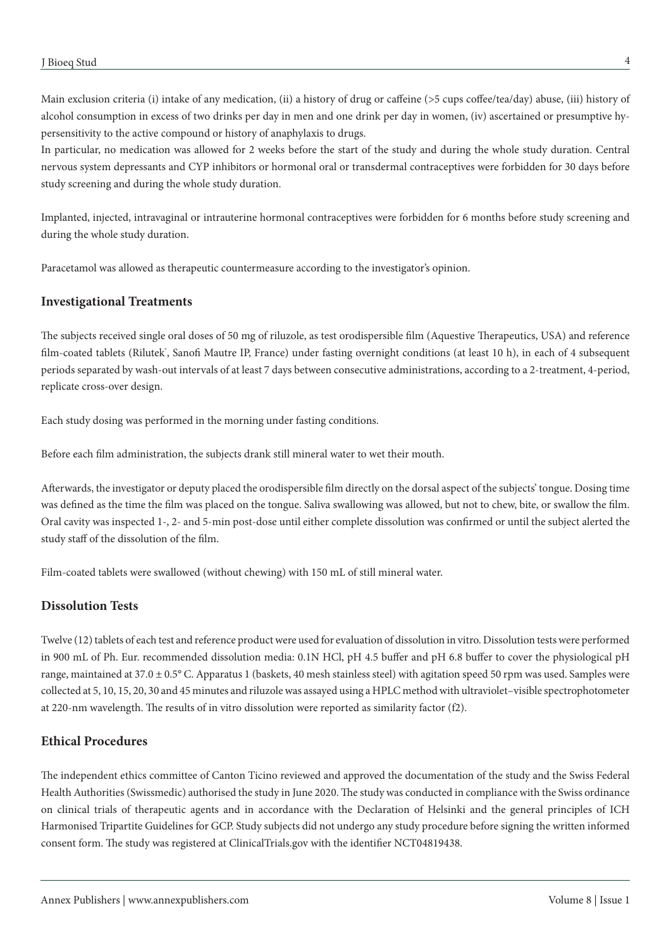Main exclusion criteria (i) intake of any medication, (ii) a history of drug or caffeine (>5 cups coffee/tea/day) abuse, (iii) history of alcohol consumption in excess of two drinks per day in men and one drink per day in women, (iv) ascertained or presumptive hypersensitivity to the active compound or history of anaphylaxis to drugs.

In particular, no medication was allowed for 2 weeks before the start of the study and during the whole study duration. Central nervous system depressants and CYP inhibitors or hormonal oral or transdermal contraceptives were forbidden for 30 days before study screening and during the whole study duration.

Implanted, injected, intravaginal or intrauterine hormonal contraceptives were forbidden for 6 months before study screening and during the whole study duration.

Paracetamol was allowed as therapeutic countermeasure according to the investigator's opinion.

### **Investigational Treatments**

The subjects received single oral doses of 50 mg of riluzole, as test orodispersible film (Aquestive Therapeutics, USA) and reference film-coated tablets (Rilutek', Sanofi Mautre IP, France) under fasting overnight conditions (at least 10 h), in each of 4 subsequent periods separated by wash-out intervals of at least 7 days between consecutive administrations, according to a 2-treatment, 4-period, replicate cross-over design.

Each study dosing was performed in the morning under fasting conditions.

Before each film administration, the subjects drank still mineral water to wet their mouth.

Afterwards, the investigator or deputy placed the orodispersible film directly on the dorsal aspect of the subjects' tongue. Dosing time was defined as the time the film was placed on the tongue. Saliva swallowing was allowed, but not to chew, bite, or swallow the film. Oral cavity was inspected 1-, 2- and 5-min post-dose until either complete dissolution was confirmed or until the subject alerted the study staff of the dissolution of the film.

Film-coated tablets were swallowed (without chewing) with 150 mL of still mineral water.

## **Dissolution Tests**

Twelve (12) tablets of each test and reference product were used for evaluation of dissolution in vitro. Dissolution tests were performed in 900 mL of Ph. Eur. recommended dissolution media: 0.1N HCl, pH 4.5 buffer and pH 6.8 buffer to cover the physiological pH range, maintained at  $37.0 \pm 0.5^{\circ}$  C. Apparatus 1 (baskets, 40 mesh stainless steel) with agitation speed 50 rpm was used. Samples were collected at 5, 10, 15, 20, 30 and 45 minutes and riluzole was assayed using a HPLC method with ultraviolet–visible spectrophotometer at 220-nm wavelength. The results of in vitro dissolution were reported as similarity factor (f2).

#### **Ethical Procedures**

The independent ethics committee of Canton Ticino reviewed and approved the documentation of the study and the Swiss Federal Health Authorities (Swissmedic) authorised the study in June 2020. The study was conducted in compliance with the Swiss ordinance on clinical trials of therapeutic agents and in accordance with the Declaration of Helsinki and the general principles of ICH Harmonised Tripartite Guidelines for GCP. Study subjects did not undergo any study procedure before signing the written informed consent form. The study was registered at ClinicalTrials.gov with the identifier NCT04819438.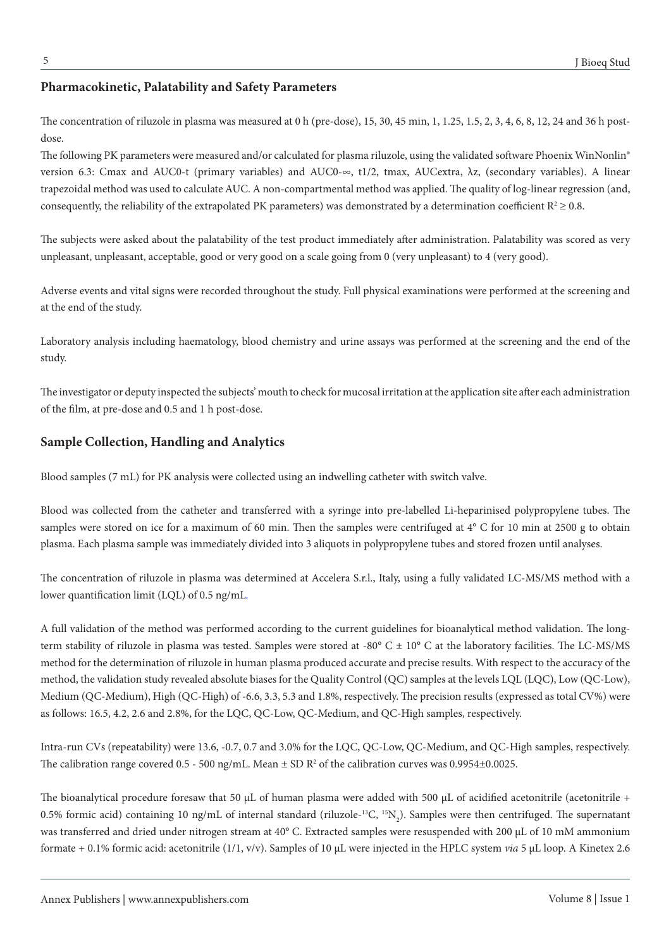### **Pharmacokinetic, Palatability and Safety Parameters**

The concentration of riluzole in plasma was measured at 0 h (pre-dose), 15, 30, 45 min, 1, 1.25, 1.5, 2, 3, 4, 6, 8, 12, 24 and 36 h postdose.

The following PK parameters were measured and/or calculated for plasma riluzole, using the validated software Phoenix WinNonlin® version 6.3: Cmax and AUC0-t (primary variables) and AUC0-∞, t1/2, tmax, AUCextra, λz, (secondary variables). A linear trapezoidal method was used to calculate AUC. A non-compartmental method was applied. The quality of log-linear regression (and, consequently, the reliability of the extrapolated PK parameters) was demonstrated by a determination coefficient  $R^2 \ge 0.8$ .

The subjects were asked about the palatability of the test product immediately after administration. Palatability was scored as very unpleasant, unpleasant, acceptable, good or very good on a scale going from 0 (very unpleasant) to 4 (very good).

Adverse events and vital signs were recorded throughout the study. Full physical examinations were performed at the screening and at the end of the study.

Laboratory analysis including haematology, blood chemistry and urine assays was performed at the screening and the end of the study.

The investigator or deputy inspected the subjects' mouth to check for mucosal irritation at the application site after each administration of the film, at pre-dose and 0.5 and 1 h post-dose.

### **Sample Collection, Handling and Analytics**

Blood samples (7 mL) for PK analysis were collected using an indwelling catheter with switch valve.

Blood was collected from the catheter and transferred with a syringe into pre-labelled Li-heparinised polypropylene tubes. The samples were stored on ice for a maximum of 60 min. Then the samples were centrifuged at 4° C for 10 min at 2500 g to obtain plasma. Each plasma sample was immediately divided into 3 aliquots in polypropylene tubes and stored frozen until analyses.

The concentration of riluzole in plasma was determined at Accelera S.r.l., Italy, using a fully validated LC-MS/MS method with a lower quantification limit (LQL) of 0.5 ng/mL*.*

A full validation of the method was performed according to the current guidelines for bioanalytical method validation. The longterm stability of riluzole in plasma was tested. Samples were stored at -80 $^{\circ}$  C  $\pm$  10 $^{\circ}$  C at the laboratory facilities. The LC-MS/MS method for the determination of riluzole in human plasma produced accurate and precise results. With respect to the accuracy of the method, the validation study revealed absolute biases for the Quality Control (QC) samples at the levels LQL (LQC), Low (QC-Low), Medium (QC-Medium), High (QC-High) of -6.6, 3.3, 5.3 and 1.8%, respectively. The precision results (expressed as total CV%) were as follows: 16.5, 4.2, 2.6 and 2.8%, for the LQC, QC-Low, QC-Medium, and QC-High samples, respectively.

Intra-run CVs (repeatability) were 13.6, -0.7, 0.7 and 3.0% for the LQC, QC-Low, QC-Medium, and QC-High samples, respectively. The calibration range covered 0.5 - 500 ng/mL. Mean  $\pm$  SD R<sup>2</sup> of the calibration curves was 0.9954 $\pm$ 0.0025.

The bioanalytical procedure foresaw that 50 μL of human plasma were added with 500 μL of acidified acetonitrile (acetonitrile + 0.5% formic acid) containing 10 ng/mL of internal standard (riluzole-<sup>13</sup>C, <sup>15</sup>N<sub>2</sub>). Samples were then centrifuged. The supernatant was transferred and dried under nitrogen stream at 40° C. Extracted samples were resuspended with 200 μL of 10 mM ammonium formate + 0.1% formic acid: acetonitrile (1/1, v/v). Samples of 10 μL were injected in the HPLC system *via* 5 μL loop. A Kinetex 2.6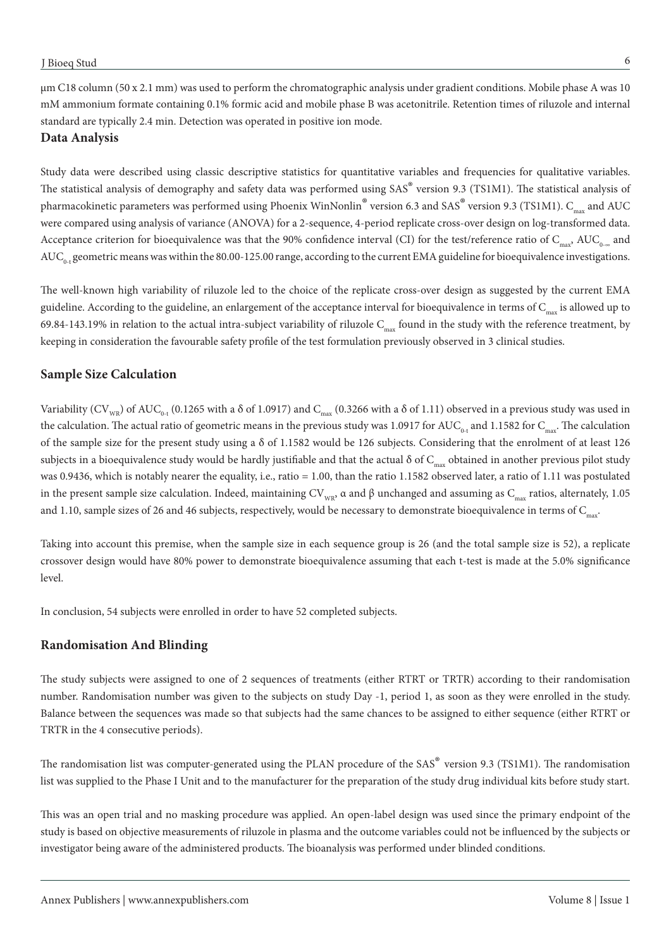μm C18 column (50 x 2.1 mm) was used to perform the chromatographic analysis under gradient conditions. Mobile phase A was 10 mM ammonium formate containing 0.1% formic acid and mobile phase B was acetonitrile. Retention times of riluzole and internal standard are typically 2.4 min. Detection was operated in positive ion mode.

#### **Data Analysis**

Study data were described using classic descriptive statistics for quantitative variables and frequencies for qualitative variables. The statistical analysis of demography and safety data was performed using SAS® version 9.3 (TS1M1). The statistical analysis of pharmacokinetic parameters was performed using Phoenix WinNonlin<sup>®</sup> version 6.3 and SAS<sup>®</sup> version 9.3 (TS1M1). C<sub>max</sub> and AUC were compared using analysis of variance (ANOVA) for a 2-sequence, 4-period replicate cross-over design on log-transformed data. Acceptance criterion for bioequivalence was that the 90% confidence interval (CI) for the test/reference ratio of  $C_{\text{max}}$ , AUC<sub>0-∞</sub> and  $AUC_{0-t}$  geometric means was within the 80.00-125.00 range, according to the current EMA guideline for bioequivalence investigations.

The well-known high variability of riluzole led to the choice of the replicate cross-over design as suggested by the current EMA guideline. According to the guideline, an enlargement of the acceptance interval for bioequivalence in terms of  $C_{\text{max}}$  is allowed up to 69.84-143.19% in relation to the actual intra-subject variability of riluzole  $C_{\text{max}}$  found in the study with the reference treatment, by keeping in consideration the favourable safety profile of the test formulation previously observed in 3 clinical studies.

### **Sample Size Calculation**

Variability (CV<sub>WR</sub>) of AUC<sub>0-t</sub> (0.1265 with a  $\delta$  of 1.0917) and C<sub>max</sub> (0.3266 with a  $\delta$  of 1.11) observed in a previous study was used in the calculation. The actual ratio of geometric means in the previous study was 1.0917 for AUC<sub>0-t</sub> and 1.1582 for C<sub>max</sub>. The calculation of the sample size for the present study using a δ of 1.1582 would be 126 subjects. Considering that the enrolment of at least 126 subjects in a bioequivalence study would be hardly justifiable and that the actual  $\delta$  of  $C_{\text{max}}$  obtained in another previous pilot study was 0.9436, which is notably nearer the equality, i.e., ratio = 1.00, than the ratio 1.1582 observed later, a ratio of 1.11 was postulated in the present sample size calculation. Indeed, maintaining CV<sub>WR</sub>, α and β unchanged and assuming as C<sub>max</sub> ratios, alternately, 1.05 and 1.10, sample sizes of 26 and 46 subjects, respectively, would be necessary to demonstrate bioequivalence in terms of  $C_{\text{max}}$ .

Taking into account this premise, when the sample size in each sequence group is 26 (and the total sample size is 52), a replicate crossover design would have 80% power to demonstrate bioequivalence assuming that each t-test is made at the 5.0% significance level.

In conclusion, 54 subjects were enrolled in order to have 52 completed subjects.

#### **Randomisation And Blinding**

The study subjects were assigned to one of 2 sequences of treatments (either RTRT or TRTR) according to their randomisation number. Randomisation number was given to the subjects on study Day -1, period 1, as soon as they were enrolled in the study. Balance between the sequences was made so that subjects had the same chances to be assigned to either sequence (either RTRT or TRTR in the 4 consecutive periods).

The randomisation list was computer-generated using the PLAN procedure of the SAS® version 9.3 (TS1M1). The randomisation list was supplied to the Phase I Unit and to the manufacturer for the preparation of the study drug individual kits before study start.

This was an open trial and no masking procedure was applied. An open-label design was used since the primary endpoint of the study is based on objective measurements of riluzole in plasma and the outcome variables could not be influenced by the subjects or investigator being aware of the administered products. The bioanalysis was performed under blinded conditions.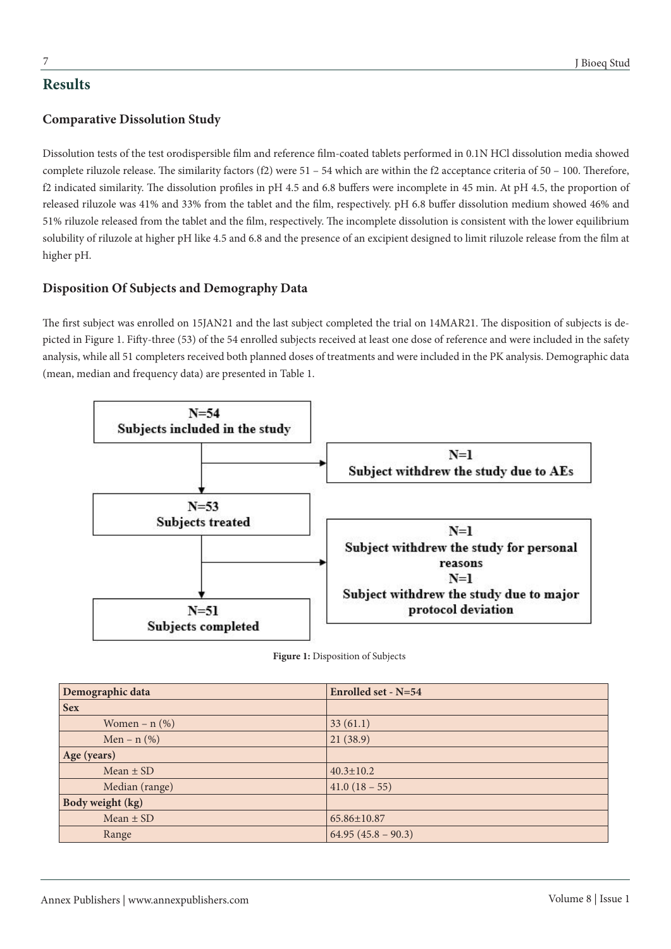# **Results**

# **Comparative Dissolution Study**

Dissolution tests of the test orodispersible film and reference film-coated tablets performed in 0.1N HCl dissolution media showed complete riluzole release. The similarity factors (f2) were 51 – 54 which are within the f2 acceptance criteria of 50 – 100. Therefore, f2 indicated similarity. The dissolution profiles in pH 4.5 and 6.8 buffers were incomplete in 45 min. At pH 4.5, the proportion of released riluzole was 41% and 33% from the tablet and the film, respectively. pH 6.8 buffer dissolution medium showed 46% and 51% riluzole released from the tablet and the film, respectively. The incomplete dissolution is consistent with the lower equilibrium solubility of riluzole at higher pH like 4.5 and 6.8 and the presence of an excipient designed to limit riluzole release from the film at higher pH.

# **Disposition Of Subjects and Demography Data**

The first subject was enrolled on 15JAN21 and the last subject completed the trial on 14MAR21. The disposition of subjects is depicted in Figure 1. Fifty-three (53) of the 54 enrolled subjects received at least one dose of reference and were included in the safety analysis, while all 51 completers received both planned doses of treatments and were included in the PK analysis. Demographic data (mean, median and frequency data) are presented in Table 1.



**Figure 1:** Disposition of Subjects

| Demographic data   | Enrolled set - N=54 |  |  |
|--------------------|---------------------|--|--|
| <b>Sex</b>         |                     |  |  |
| Women – $n$ $(\%)$ | 33(61.1)            |  |  |
| Men – $n$ (%)      | 21(38.9)            |  |  |
| Age (years)        |                     |  |  |
| $Mean \pm SD$      | $40.3 \pm 10.2$     |  |  |
| Median (range)     | $41.0(18-55)$       |  |  |
| Body weight (kg)   |                     |  |  |
| Mean $\pm$ SD      | 65.86±10.87         |  |  |
| Range              | $64.95(45.8-90.3)$  |  |  |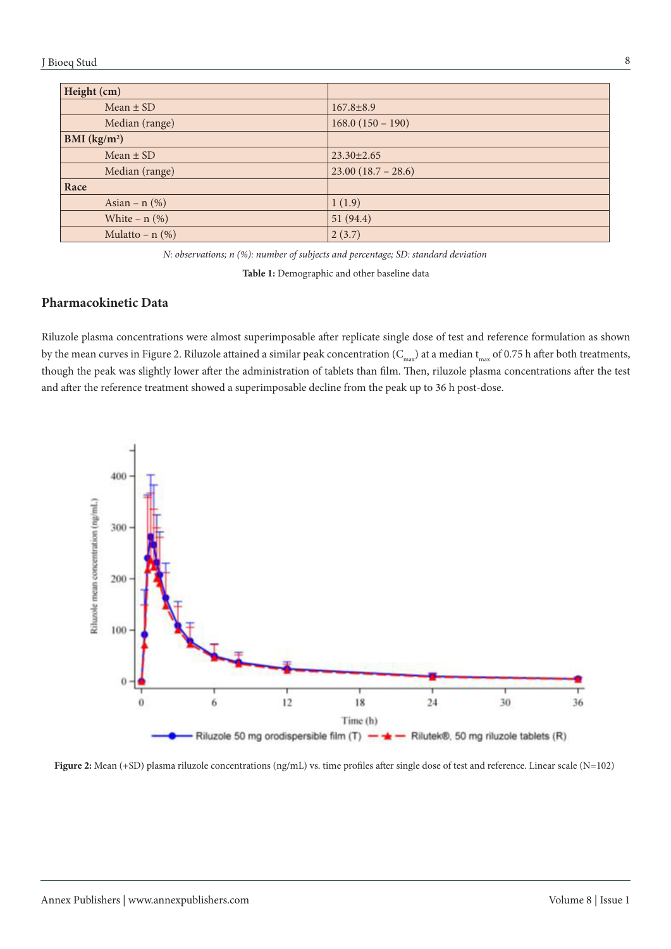#### J Bioeq Stud

| Height (cm)              |                      |
|--------------------------|----------------------|
| $Mean \pm SD$            | $167.8 \pm 8.9$      |
| Median (range)           | $168.0(150 - 190)$   |
| BMI (kg/m <sup>2</sup> ) |                      |
| Mean $\pm$ SD            | $23.30 \pm 2.65$     |
| Median (range)           | $23.00(18.7 - 28.6)$ |
| Race                     |                      |
| Asian – $n$ (%)          | 1(1.9)               |
| White $- n$ (%)          | 51(94.4)             |
| Mulatto – $n$ (%)        | 2(3.7)               |

*N: observations; n (%): number of subjects and percentage; SD: standard deviation*

**Table 1:** Demographic and other baseline data

## **Pharmacokinetic Data**

Riluzole plasma concentrations were almost superimposable after replicate single dose of test and reference formulation as shown by the mean curves in Figure 2. Riluzole attained a similar peak concentration ( $C_{\text{max}}$ ) at a median  $t_{\text{max}}$  of 0.75 h after both treatments, though the peak was slightly lower after the administration of tablets than film. Then, riluzole plasma concentrations after the test and after the reference treatment showed a superimposable decline from the peak up to 36 h post-dose.



**Figure 2:** Mean (+SD) plasma riluzole concentrations (ng/mL) vs. time profiles after single dose of test and reference. Linear scale (N=102)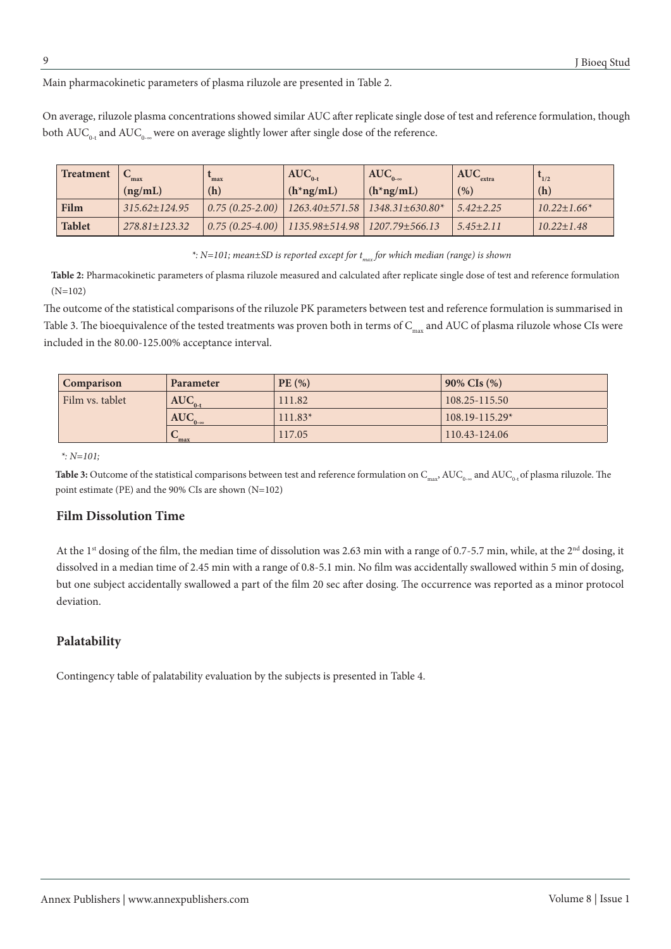Main pharmacokinetic parameters of plasma riluzole are presented in Table 2.

On average, riluzole plasma concentrations showed similar AUC after replicate single dose of test and reference formulation, though both  $\text{AUC}_{0-t}$  and  $\text{AUC}_{0-\infty}$  were on average slightly lower after single dose of the reference.

| <b>Treatment</b> | max                 | max | $AUC_{0-t}$                                         | $AUC_{0-\infty}$                                     | $\text{AUC}_{\text{extra}}$ | 1/2                |
|------------------|---------------------|-----|-----------------------------------------------------|------------------------------------------------------|-----------------------------|--------------------|
|                  | (ng/mL)             | (h) | $(h*ng/mL)$                                         | $(h*ng/mL)$                                          | (% )                        | (h)                |
| Film             | $315.62 \pm 124.95$ |     |                                                     | $0.75(0.25-2.00)$   1263.40±571.58   1348.31±630.80* | $5.42 \pm 2.25$             | $10.22 \pm 1.66^*$ |
| <b>Tablet</b>    | $278.81 \pm 123.32$ |     | $0.75(0.25-4.00)$   1135.98±514.98   1207.79±566.13 |                                                      | $5.45 \pm 2.11$             | $10.22 \pm 1.48$   |

*\**: N=101; mean±SD is reported except for  $t_{\text{max}}$  for which median (range) is shown

**Table 2:** Pharmacokinetic parameters of plasma riluzole measured and calculated after replicate single dose of test and reference formulation (N=102)

The outcome of the statistical comparisons of the riluzole PK parameters between test and reference formulation is summarised in Table 3. The bioequivalence of the tested treatments was proven both in terms of  $C_{max}$  and AUC of plasma riluzole whose CIs were included in the 80.00-125.00% acceptance interval.

| Comparison<br>Parameter |                        | PE(%)     | $90\%$ CIs $(\% )$ |  |
|-------------------------|------------------------|-----------|--------------------|--|
| Film vs. tablet         | $\overline{AUC}_{0-t}$ | 111.82    | $108.25 - 115.50$  |  |
|                         | $AUC_{0-\infty}$       | $111.83*$ | $108.19 - 115.29*$ |  |
|                         | max                    | 117.05    | 110.43-124.06      |  |

*\*: N=101;* 

**Table 3:** Outcome of the statistical comparisons between test and reference formulation on C<sub>max</sub>, AUC<sub>0∞</sub> and AUC<sub>0</sub>⋅of plasma riluzole. The point estimate (PE) and the 90% CIs are shown (N=102)

## **Film Dissolution Time**

At the 1<sup>st</sup> dosing of the film, the median time of dissolution was 2.63 min with a range of 0.7-5.7 min, while, at the 2<sup>nd</sup> dosing, it dissolved in a median time of 2.45 min with a range of 0.8-5.1 min. No film was accidentally swallowed within 5 min of dosing, but one subject accidentally swallowed a part of the film 20 sec after dosing. The occurrence was reported as a minor protocol deviation.

## **Palatability**

Contingency table of palatability evaluation by the subjects is presented in Table 4.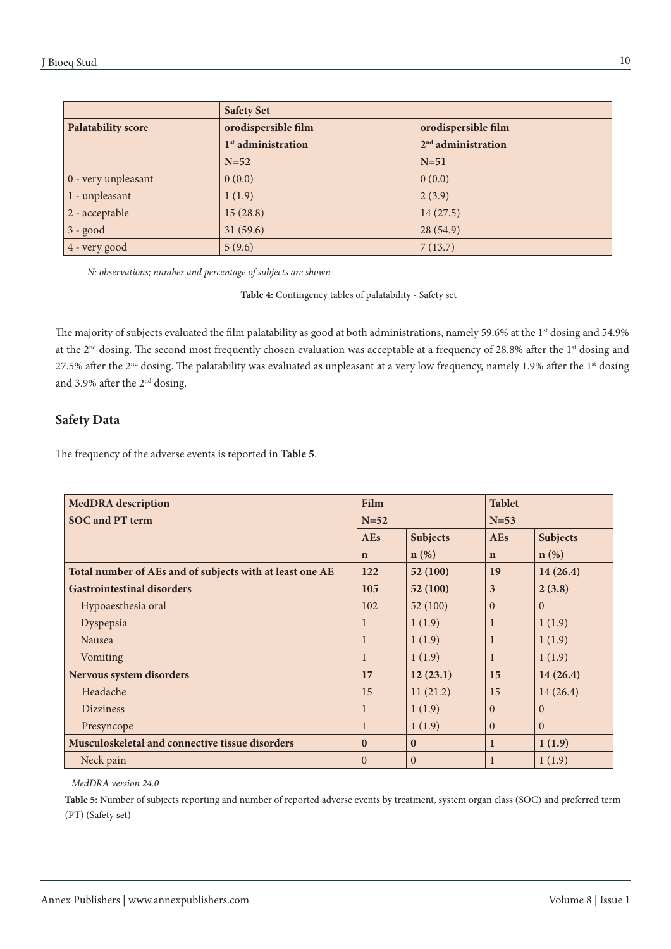|                             | <b>Safety Set</b>              |                                |  |
|-----------------------------|--------------------------------|--------------------------------|--|
| <b>Palatability score</b>   | orodispersible film            | orodispersible film            |  |
|                             | 1 <sup>st</sup> administration | 2 <sup>nd</sup> administration |  |
|                             | $N=52$                         | $N=51$                         |  |
| $\vert 0$ - very unpleasant | 0(0.0)                         | 0(0.0)                         |  |
| $\vert$ 1 - unpleasant      | 1(1.9)                         | 2(3.9)                         |  |
| $ 2$ - acceptable           | 15(28.8)                       | 14(27.5)                       |  |
| $3 - good$                  | 31(59.6)                       | 28(54.9)                       |  |
| $ 4 - very good$            | 5(9.6)                         | 7(13.7)                        |  |

*N: observations; number and percentage of subjects are shown*

**Table 4:** Contingency tables of palatability - Safety set

The majority of subjects evaluated the film palatability as good at both administrations, namely 59.6% at the 1<sup>st</sup> dosing and 54.9% at the 2<sup>nd</sup> dosing. The second most frequently chosen evaluation was acceptable at a frequency of 28.8% after the 1<sup>st</sup> dosing and 27.5% after the 2<sup>nd</sup> dosing. The palatability was evaluated as unpleasant at a very low frequency, namely 1.9% after the 1<sup>st</sup> dosing and 3.9% after the 2nd dosing.

### **Safety Data**

The frequency of the adverse events is reported in **Table 5**.

| Film<br><b>MedDRA</b> description                        |              |                  | <b>Tablet</b>  |                 |  |
|----------------------------------------------------------|--------------|------------------|----------------|-----------------|--|
| <b>SOC</b> and PT term                                   | $N=52$       |                  |                | $N=53$          |  |
|                                                          | <b>AEs</b>   | Subjects         | <b>AEs</b>     | <b>Subjects</b> |  |
|                                                          | $\mathbf n$  | $\mathbf{n}(\%)$ | $\mathbf n$    | $n$ (%)         |  |
| Total number of AEs and of subjects with at least one AE | 122          | 52 (100)         | 19             | 14(26.4)        |  |
| <b>Gastrointestinal disorders</b>                        |              | 52(100)          | $\overline{3}$ | 2(3.8)          |  |
| Hypoaesthesia oral                                       | 102          | 52(100)          | $\Omega$       | $\Omega$        |  |
| Dyspepsia                                                | 1            | 1(1.9)           | $\mathbf{1}$   | 1(1.9)          |  |
| Nausea                                                   | 1            | 1(1.9)           | $\mathbf{1}$   | 1(1.9)          |  |
| Vomiting                                                 | $\mathbf{1}$ | 1(1.9)           | $\mathbf{1}$   | 1(1.9)          |  |
| Nervous system disorders                                 |              | 12(23.1)         | 15             | 14(26.4)        |  |
| Headache                                                 | 15           | 11(21.2)         | 15             | 14(26.4)        |  |
| <b>Dizziness</b>                                         | $\mathbf{1}$ | 1(1.9)           | $\Omega$       | $\Omega$        |  |
| Presyncope                                               | 1            | 1(1.9)           | $\Omega$       | $\Omega$        |  |
| Musculoskeletal and connective tissue disorders          |              | $\bf{0}$         | $\mathbf{1}$   | 1(1.9)          |  |
| Neck pain                                                |              | $\Omega$         | 1              | 1(1.9)          |  |

*MedDRA version 24.0*

**Table 5:** Number of subjects reporting and number of reported adverse events by treatment, system organ class (SOC) and preferred term (PT) (Safety set)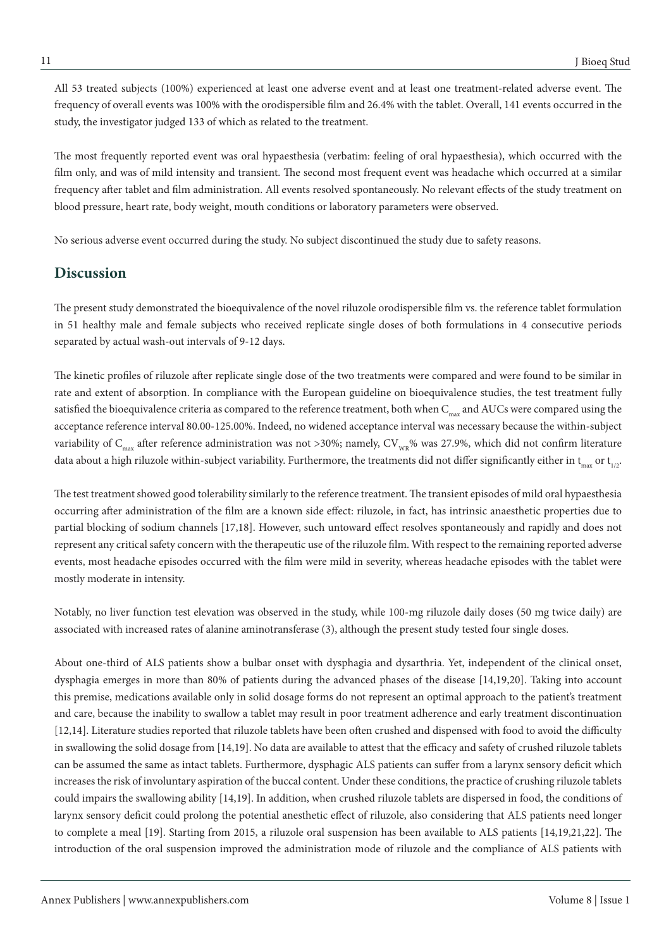All 53 treated subjects (100%) experienced at least one adverse event and at least one treatment-related adverse event. The frequency of overall events was 100% with the orodispersible film and 26.4% with the tablet. Overall, 141 events occurred in the study, the investigator judged 133 of which as related to the treatment.

The most frequently reported event was oral hypaesthesia (verbatim: feeling of oral hypaesthesia), which occurred with the film only, and was of mild intensity and transient. The second most frequent event was headache which occurred at a similar frequency after tablet and film administration. All events resolved spontaneously. No relevant effects of the study treatment on blood pressure, heart rate, body weight, mouth conditions or laboratory parameters were observed.

No serious adverse event occurred during the study. No subject discontinued the study due to safety reasons.

# **Discussion**

The present study demonstrated the bioequivalence of the novel riluzole orodispersible film vs. the reference tablet formulation in 51 healthy male and female subjects who received replicate single doses of both formulations in 4 consecutive periods separated by actual wash-out intervals of 9-12 days.

The kinetic profiles of riluzole after replicate single dose of the two treatments were compared and were found to be similar in rate and extent of absorption. In compliance with the European guideline on bioequivalence studies, the test treatment fully satisfied the bioequivalence criteria as compared to the reference treatment, both when  $C_{\text{max}}$  and AUCs were compared using the acceptance reference interval 80.00-125.00%. Indeed, no widened acceptance interval was necessary because the within-subject variability of  $C_{\text{max}}$  after reference administration was not >30%; namely,  $CV_{\text{WR}}$ % was 27.9%, which did not confirm literature data about a high riluzole within-subject variability. Furthermore, the treatments did not differ significantly either in  $t_{av}$  or  $t_{av}$ .

The test treatment showed good tolerability similarly to the reference treatment. The transient episodes of mild oral hypaesthesia occurring after administration of the film are a known side effect: riluzole, in fact, has intrinsic anaesthetic properties due to partial blocking of sodium channels [17,18]. However, such untoward effect resolves spontaneously and rapidly and does not represent any critical safety concern with the therapeutic use of the riluzole film. With respect to the remaining reported adverse events, most headache episodes occurred with the film were mild in severity, whereas headache episodes with the tablet were mostly moderate in intensity.

Notably, no liver function test elevation was observed in the study, while 100-mg riluzole daily doses (50 mg twice daily) are associated with increased rates of alanine aminotransferase (3), although the present study tested four single doses.

About one-third of ALS patients show a bulbar onset with dysphagia and dysarthria. Yet, independent of the clinical onset, dysphagia emerges in more than 80% of patients during the advanced phases of the disease [14,19,20]. Taking into account this premise, medications available only in solid dosage forms do not represent an optimal approach to the patient's treatment and care, because the inability to swallow a tablet may result in poor treatment adherence and early treatment discontinuation [12,14]. Literature studies reported that riluzole tablets have been often crushed and dispensed with food to avoid the difficulty in swallowing the solid dosage from [14,19]. No data are available to attest that the efficacy and safety of crushed riluzole tablets can be assumed the same as intact tablets. Furthermore, dysphagic ALS patients can suffer from a larynx sensory deficit which increases the risk of involuntary aspiration of the buccal content. Under these conditions, the practice of crushing riluzole tablets could impairs the swallowing ability [14,19]. In addition, when crushed riluzole tablets are dispersed in food, the conditions of larynx sensory deficit could prolong the potential anesthetic effect of riluzole, also considering that ALS patients need longer to complete a meal [19]. Starting from 2015, a riluzole oral suspension has been available to ALS patients [14,19,21,22]. The introduction of the oral suspension improved the administration mode of riluzole and the compliance of ALS patients with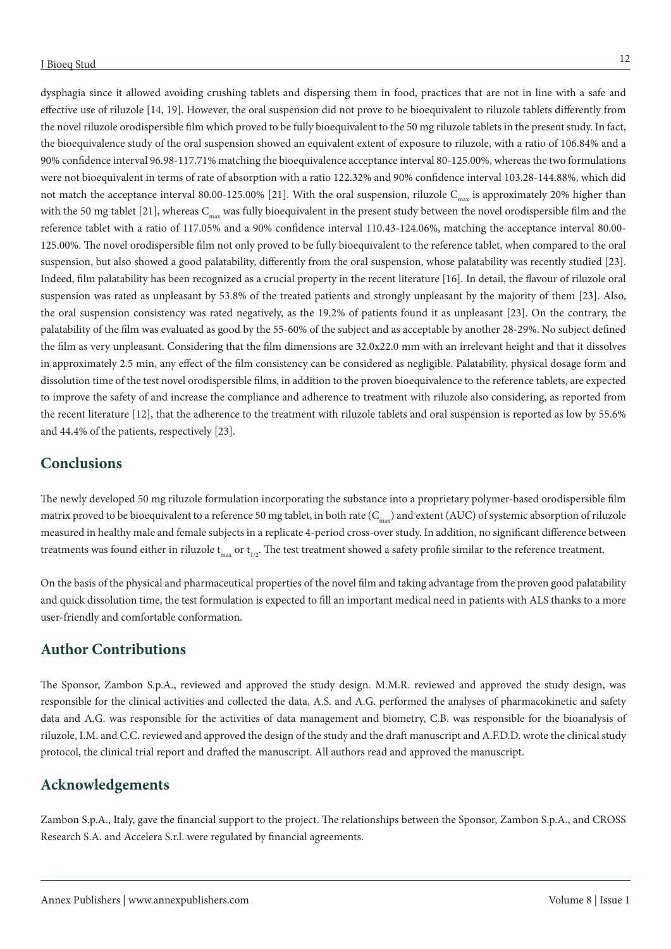dysphagia since it allowed avoiding crushing tablets and dispersing them in food, practices that are not in line with a safe and effective use of riluzole [14, 19]. However, the oral suspension did not prove to be bioequivalent to riluzole tablets differently from the novel riluzole orodispersible film which proved to be fully bioequivalent to the 50 mg riluzole tablets in the present study. In fact, the bioequivalence study of the oral suspension showed an equivalent extent of exposure to riluzole, with a ratio of 106.84% and a 90% confidence interval 96.98-117.71% matching the bioequivalence acceptance interval 80-125.00%, whereas the two formulations were not bioequivalent in terms of rate of absorption with a ratio 122.32% and 90% confidence interval 103.28-144.88%, which did not match the acceptance interval 80.00-125.00% [21]. With the oral suspension, riluzole  $C_{\text{max}}$  is approximately 20% higher than with the 50 mg tablet [21], whereas  $C_{\text{max}}$  was fully bioequivalent in the present study between the novel orodispersible film and the reference tablet with a ratio of 117.05% and a 90% confidence interval 110.43-124.06%, matching the acceptance interval 80.00- 125.00%. The novel orodispersible film not only proved to be fully bioequivalent to the reference tablet, when compared to the oral suspension, but also showed a good palatability, differently from the oral suspension, whose palatability was recently studied [23]. Indeed, film palatability has been recognized as a crucial property in the recent literature [16]. In detail, the flavour of riluzole oral suspension was rated as unpleasant by 53.8% of the treated patients and strongly unpleasant by the majority of them [23]. Also, the oral suspension consistency was rated negatively, as the 19.2% of patients found it as unpleasant [23]. On the contrary, the palatability of the film was evaluated as good by the 55-60% of the subject and as acceptable by another 28-29%. No subject defined the film as very unpleasant. Considering that the film dimensions are 32.0x22.0 mm with an irrelevant height and that it dissolves in approximately 2.5 min, any effect of the film consistency can be considered as negligible. Palatability, physical dosage form and dissolution time of the test novel orodispersible films, in addition to the proven bioequivalence to the reference tablets, are expected to improve the safety of and increase the compliance and adherence to treatment with riluzole also considering, as reported from the recent literature [12], that the adherence to the treatment with riluzole tablets and oral suspension is reported as low by 55.6% and 44.4% of the patients, respectively [23].

# **Conclusions**

The newly developed 50 mg riluzole formulation incorporating the substance into a proprietary polymer-based orodispersible film matrix proved to be bioequivalent to a reference 50 mg tablet, in both rate ( $C_{\text{max}}$ ) and extent (AUC) of systemic absorption of riluzole measured in healthy male and female subjects in a replicate 4-period cross-over study. In addition, no significant difference between treatments was found either in riluzole  $t_{max}$  or  $t_{1/2}$ . The test treatment showed a safety profile similar to the reference treatment.

On the basis of the physical and pharmaceutical properties of the novel film and taking advantage from the proven good palatability and quick dissolution time, the test formulation is expected to fill an important medical need in patients with ALS thanks to a more user-friendly and comfortable conformation.

# **Author Contributions**

The Sponsor, Zambon S.p.A., reviewed and approved the study design. M.M.R. reviewed and approved the study design, was responsible for the clinical activities and collected the data, A.S. and A.G. performed the analyses of pharmacokinetic and safety data and A.G. was responsible for the activities of data management and biometry, C.B. was responsible for the bioanalysis of riluzole, I.M. and C.C. reviewed and approved the design of the study and the draft manuscript and A.F.D.D. wrote the clinical study protocol, the clinical trial report and drafted the manuscript. All authors read and approved the manuscript.

# **Acknowledgements**

Zambon S.p.A., Italy, gave the financial support to the project. The relationships between the Sponsor, Zambon S.p.A., and CROSS Research S.A. and Accelera S.r.l. were regulated by financial agreements.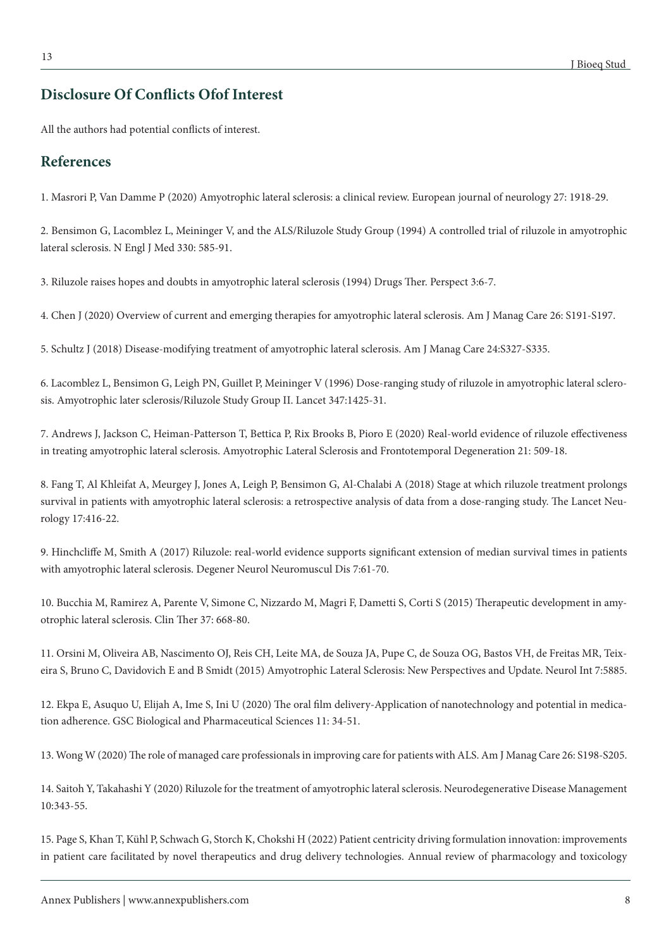# **Disclosure Of Conflicts Ofof Interest**

All the authors had potential conflicts of interest.

## **References**

1. Masrori P, Van Damme P (2020) Amyotrophic lateral sclerosis: a clinical review. European journal of neurology 27: 1918-29.

2. Bensimon G, Lacomblez L, Meininger V, and the ALS/Riluzole Study Group (1994) A controlled trial of riluzole in amyotrophic lateral sclerosis. N Engl J Med 330: 585-91.

3. Riluzole raises hopes and doubts in amyotrophic lateral sclerosis (1994) Drugs Ther. Perspect 3:6-7.

4. Chen J (2020) Overview of current and emerging therapies for amyotrophic lateral sclerosis. Am J Manag Care 26: S191-S197.

5. Schultz J (2018) Disease-modifying treatment of amyotrophic lateral sclerosis. Am J Manag Care 24:S327-S335.

6. Lacomblez L, Bensimon G, Leigh PN, Guillet P, Meininger V (1996) Dose-ranging study of riluzole in amyotrophic lateral sclerosis. Amyotrophic later sclerosis/Riluzole Study Group II. Lancet 347:1425-31.

7. Andrews J, Jackson C, Heiman-Patterson T, Bettica P, Rix Brooks B, Pioro E (2020) Real-world evidence of riluzole effectiveness in treating amyotrophic lateral sclerosis. Amyotrophic Lateral Sclerosis and Frontotemporal Degeneration 21: 509-18.

8. Fang T, Al Khleifat A, Meurgey J, Jones A, Leigh P, Bensimon G, Al-Chalabi A (2018) Stage at which riluzole treatment prolongs survival in patients with amyotrophic lateral sclerosis: a retrospective analysis of data from a dose-ranging study. The Lancet Neurology 17:416-22.

9. Hinchcliffe M, Smith A (2017) Riluzole: real-world evidence supports significant extension of median survival times in patients with amyotrophic lateral sclerosis. Degener Neurol Neuromuscul Dis 7:61-70.

10. Bucchia M, Ramirez A, Parente V, Simone C, Nizzardo M, Magri F, Dametti S, Corti S (2015) Therapeutic development in amyotrophic lateral sclerosis. Clin Ther 37: 668-80.

11. Orsini M, Oliveira AB, Nascimento OJ, Reis CH, Leite MA, de Souza JA, Pupe C, de Souza OG, Bastos VH, de Freitas MR, Teixeira S, Bruno C, Davidovich E and B Smidt (2015) Amyotrophic Lateral Sclerosis: New Perspectives and Update. Neurol Int 7:5885.

12. Ekpa E, Asuquo U, Elijah A, Ime S, Ini U (2020) The oral film delivery-Application of nanotechnology and potential in medication adherence. GSC Biological and Pharmaceutical Sciences 11: 34-51.

13. Wong W (2020) The role of managed care professionals in improving care for patients with ALS. Am J Manag Care 26: S198-S205.

14. Saitoh Y, Takahashi Y (2020) Riluzole for the treatment of amyotrophic lateral sclerosis. Neurodegenerative Disease Management 10:343-55.

15. Page S, Khan T, Kühl P, Schwach G, Storch K, Chokshi H (2022) Patient centricity driving formulation innovation: improvements in patient care facilitated by novel therapeutics and drug delivery technologies. Annual review of pharmacology and toxicology